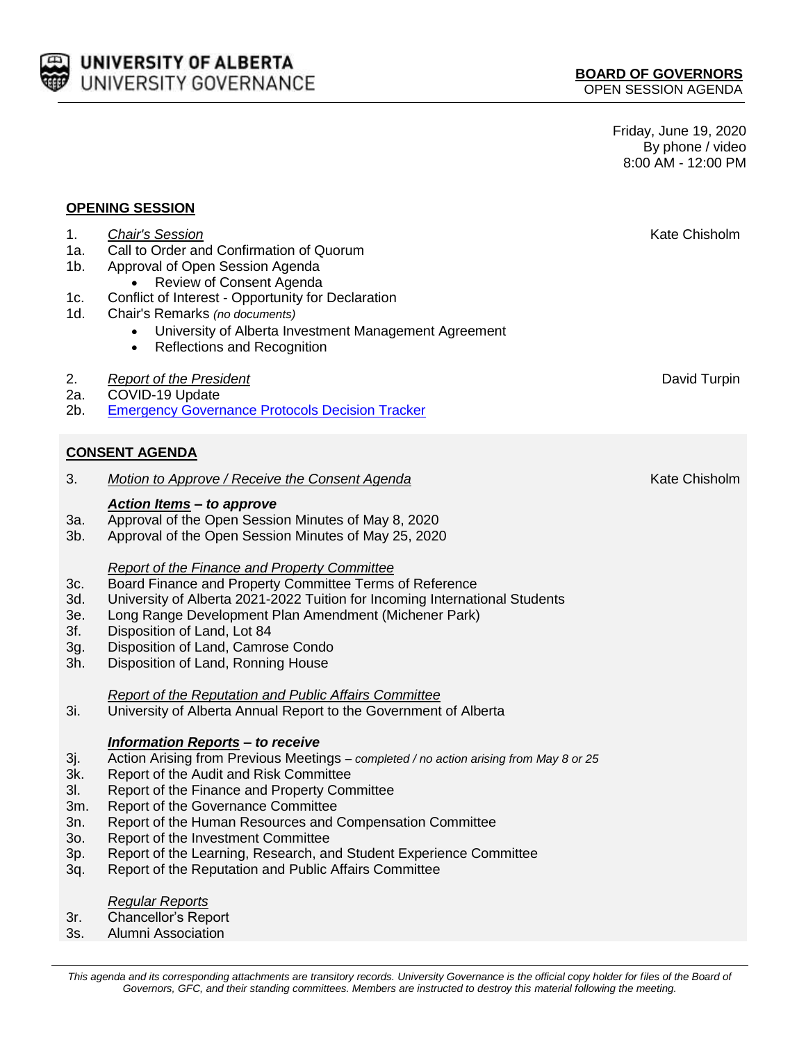

Friday, June 19, 2020 By phone / video 8:00 AM - 12:00 PM

## **OPENING SESSION**

| 1.<br>1a.<br>1b.<br>1c.<br>1d.         | <b>Chair's Session</b><br>Call to Order and Confirmation of Quorum<br>Approval of Open Session Agenda<br>Review of Consent Agenda<br>Conflict of Interest - Opportunity for Declaration<br>Chair's Remarks (no documents)<br>University of Alberta Investment Management Agreement<br><b>Reflections and Recognition</b><br>$\bullet$                             | Kate Chisholm |  |  |  |
|----------------------------------------|-------------------------------------------------------------------------------------------------------------------------------------------------------------------------------------------------------------------------------------------------------------------------------------------------------------------------------------------------------------------|---------------|--|--|--|
| 2.<br>2a.<br>2b.                       | <b>Report of the President</b><br>COVID-19 Update<br><b>Emergency Governance Protocols Decision Tracker</b>                                                                                                                                                                                                                                                       | David Turpin  |  |  |  |
| <b>CONSENT AGENDA</b>                  |                                                                                                                                                                                                                                                                                                                                                                   |               |  |  |  |
| 3.                                     | <b>Motion to Approve / Receive the Consent Agenda</b>                                                                                                                                                                                                                                                                                                             | Kate Chisholm |  |  |  |
| За.<br>$3b$ .                          | <b>Action Items - to approve</b><br>Approval of the Open Session Minutes of May 8, 2020<br>Approval of the Open Session Minutes of May 25, 2020                                                                                                                                                                                                                   |               |  |  |  |
| 3c.<br>3d.<br>3e.<br>3f.<br>3g.<br>3h. | <b>Report of the Finance and Property Committee</b><br>Board Finance and Property Committee Terms of Reference<br>University of Alberta 2021-2022 Tuition for Incoming International Students<br>Long Range Development Plan Amendment (Michener Park)<br>Disposition of Land, Lot 84<br>Disposition of Land, Camrose Condo<br>Disposition of Land, Ronning House |               |  |  |  |

## *Report of the Reputation and Public Affairs Committee*

3i. University of Alberta Annual Report to the Government of Alberta

## *Information Reports – to receive*

- 3j. Action Arising from Previous Meetings *– completed / no action arising from May 8 or 25*
- 3k. Report of the Audit and Risk Committee
- 3l. Report of the Finance and Property Committee
- 3m. Report of the Governance Committee
- 3n. Report of the Human Resources and Compensation Committee
- 3o. Report of the Investment Committee
- 3p. Report of the Learning, Research, and Student Experience Committee
- 3q. Report of the Reputation and Public Affairs Committee

## *Regular Reports*

- 3r. Chancellor's Report
- 3s. Alumni Association